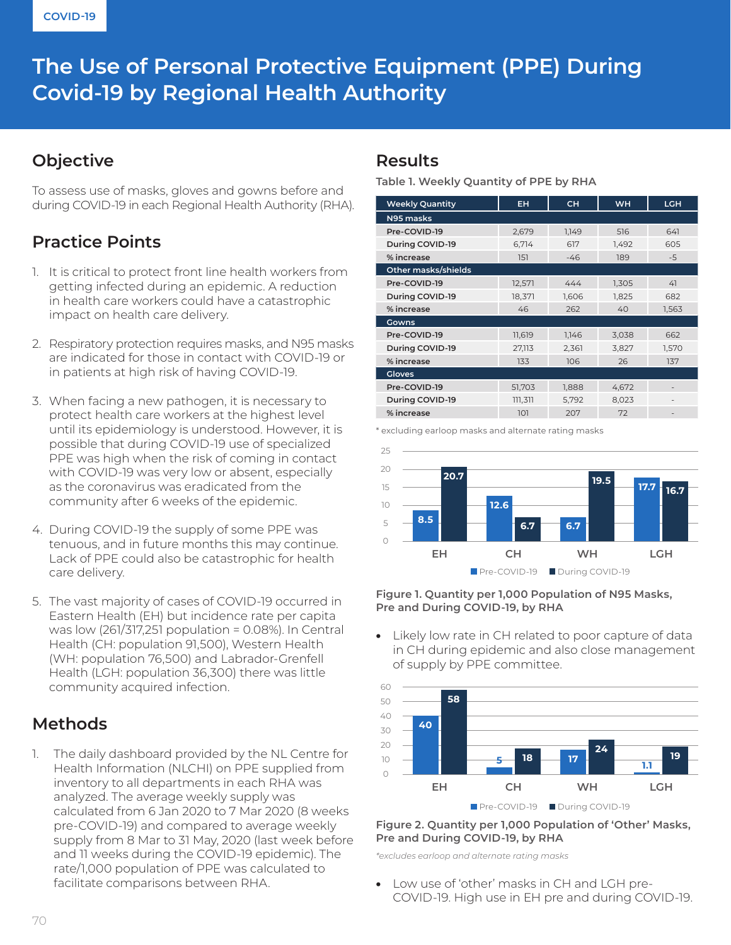# **The Use of Personal Protective Equipment (PPE) During Covid-19 by Regional Health Authority**

### **Objective**

To assess use of masks, gloves and gowns before and during COVID-19 in each Regional Health Authority (RHA).

## **Practice Points**

- 1. It is critical to protect front line health workers from getting infected during an epidemic. A reduction in health care workers could have a catastrophic impact on health care delivery.
- 2. Respiratory protection requires masks, and N95 masks are indicated for those in contact with COVID-19 or in patients at high risk of having COVID-19.
- 3. When facing a new pathogen, it is necessary to protect health care workers at the highest level until its epidemiology is understood. However, it is possible that during COVID-19 use of specialized PPE was high when the risk of coming in contact with COVID-19 was very low or absent, especially as the coronavirus was eradicated from the community after 6 weeks of the epidemic.
- 4. During COVID-19 the supply of some PPE was tenuous, and in future months this may continue. Lack of PPE could also be catastrophic for health care delivery.
- 5. The vast majority of cases of COVID-19 occurred in Eastern Health (EH) but incidence rate per capita was low (261/317,251 population = 0.08%). In Central Health (CH: population 91,500), Western Health (WH: population 76,500) and Labrador-Grenfell Health (LGH: population 36,300) there was little community acquired infection.

## **Methods**

1. The daily dashboard provided by the NL Centre for Health Information (NLCHI) on PPE supplied from inventory to all departments in each RHA was analyzed. The average weekly supply was calculated from 6 Jan 2020 to 7 Mar 2020 (8 weeks pre-COVID-19) and compared to average weekly supply from 8 Mar to 31 May, 2020 (last week before and 11 weeks during the COVID-19 epidemic). The rate/1,000 population of PPE was calculated to facilitate comparisons between RHA.

### **Results**

#### **Table 1. Weekly Quantity of PPE by RHA**

| <b>Weekly Quantity</b> | EH.     | <b>CH</b> | <b>WH</b> | <b>LGH</b> |
|------------------------|---------|-----------|-----------|------------|
| N95 masks              |         |           |           |            |
| Pre-COVID-19           | 2,679   | 1,149     | 516       | 641        |
| During COVID-19        | 6,714   | 617       | 1,492     | 605        |
| % increase             | 151     | $-46$     | 189       | $-5$       |
| Other masks/shields    |         |           |           |            |
| Pre-COVID-19           | 12,571  | 444       | 1,305     | 41         |
| During COVID-19        | 18,371  | 1,606     | 1,825     | 682        |
| % increase             | 46      | 262       | 40        | 1,563      |
| Gowns                  |         |           |           |            |
| Pre-COVID-19           | 11,619  | 1,146     | 3,038     | 662        |
| During COVID-19        | 27,113  | 2,361     | 3,827     | 1,570      |
| % increase             | 133     | 106       | 26        | 137        |
| <b>Gloves</b>          |         |           |           |            |
| Pre-COVID-19           | 51,703  | 1,888     | 4,672     |            |
| During COVID-19        | 111,311 | 5,792     | 8,023     |            |
| % increase             | 101     | 207       | 72        |            |

\* excluding earloop masks and alternate rating masks



**Figure 1. Quantity per 1,000 Population of N95 Masks, Pre and During COVID-19, by RHA** 

• Likely low rate in CH related to poor capture of data in CH during epidemic and also close management of supply by PPE committee.



#### **Figure 2. Quantity per 1,000 Population of 'Other' Masks, Pre and During COVID-19, by RHA**

*\*excludes earloop and alternate rating masks*

• Low use of 'other' masks in CH and LGH pre-COVID-19. High use in EH pre and during COVID-19.